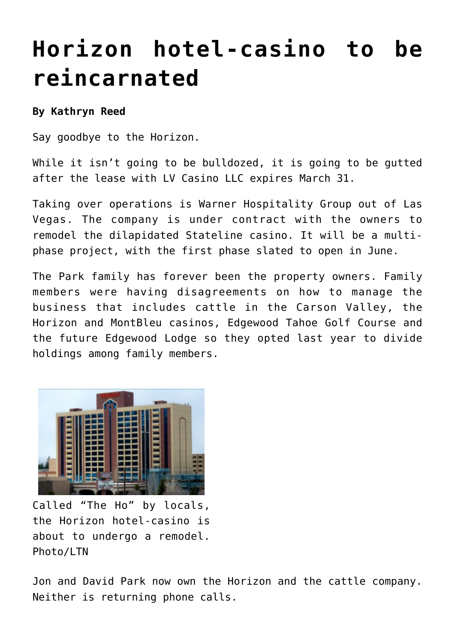## **[Horizon hotel-casino to be](https://www.laketahoenews.net/2014/03/horizon-hotel-casino-reincarnated/) [reincarnated](https://www.laketahoenews.net/2014/03/horizon-hotel-casino-reincarnated/)**

## **By Kathryn Reed**

Say goodbye to the Horizon.

While it isn't going to be bulldozed, it is going to be gutted after the lease with LV Casino LLC expires March 31.

Taking over operations is Warner Hospitality Group out of Las Vegas. The company is under contract with the owners to remodel the dilapidated Stateline casino. It will be a multiphase project, with the first phase slated to open in June.

The Park family has forever been the property owners. Family members were having disagreements on how to manage the business that includes cattle in the Carson Valley, the Horizon and MontBleu casinos, Edgewood Tahoe Golf Course and the future Edgewood Lodge so they [opted last year](https://www.laketahoenews.net/2013/10/park-family-splits-tahoe-valley-holdings-horizon-hotel-casino-revamped/) to divide holdings among family members.



Called "The Ho" by locals, the Horizon hotel-casino is about to undergo a remodel. Photo/LTN

Jon and David Park now own the Horizon and the cattle company. Neither is returning phone calls.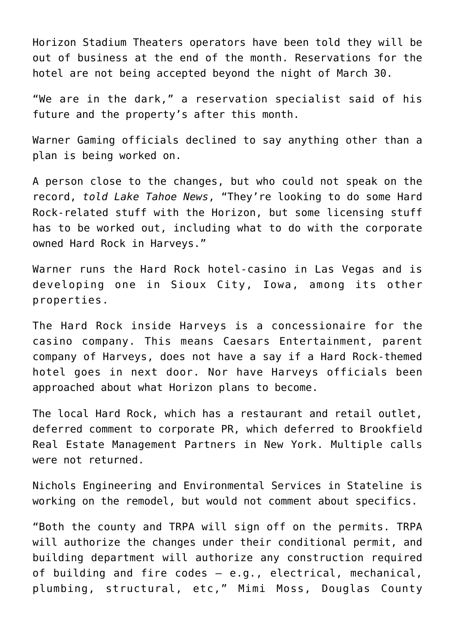Horizon Stadium Theaters operators have been told they will be out of business at the end of the month. Reservations for the hotel are not being accepted beyond the night of March 30.

"We are in the dark," a reservation specialist said of his future and the property's after this month.

Warner Gaming officials declined to say anything other than a plan is being worked on.

A person close to the changes, but who could not speak on the record, *told Lake Tahoe News*, "They're looking to do some Hard Rock-related stuff with the Horizon, but some licensing stuff has to be worked out, including what to do with the corporate owned Hard Rock in Harveys."

Warner runs the Hard Rock hotel-casino in Las Vegas and is developing one in Sioux City, Iowa, among its other properties.

The Hard Rock inside Harveys is a concessionaire for the casino company. This means Caesars Entertainment, parent company of Harveys, does not have a say if a Hard Rock-themed hotel goes in next door. Nor have Harveys officials been approached about what Horizon plans to become.

The local Hard Rock, which has a restaurant and retail outlet, deferred comment to corporate PR, which deferred to Brookfield Real Estate Management Partners in New York. Multiple calls were not returned.

Nichols Engineering and Environmental Services in Stateline is working on the remodel, but would not comment about specifics.

"Both the county and TRPA will sign off on the permits. TRPA will authorize the changes under their conditional permit, and building department will authorize any construction required of building and fire codes – e.g., electrical, mechanical, plumbing, structural, etc," Mimi Moss, Douglas County